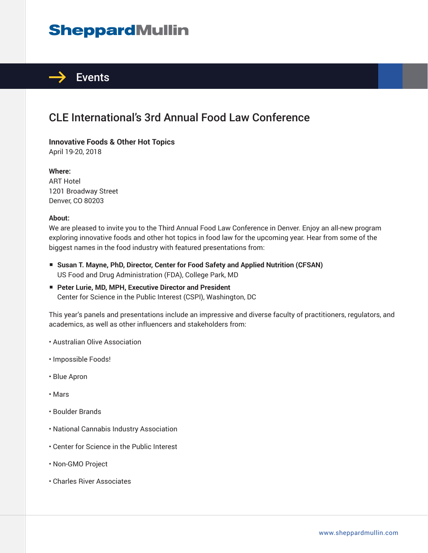# **SheppardMullin**



### CLE International's 3rd Annual Food Law Conference

**Innovative Foods & Other Hot Topics** April 19-20, 2018

**Where:** ART Hotel 1201 Broadway Street Denver, CO 80203

#### **About:**

We are pleased to invite you to the Third Annual Food Law Conference in Denver. Enjoy an all-new program exploring innovative foods and other hot topics in food law for the upcoming year. Hear from some of the biggest names in the food industry with featured presentations from:

- Susan T. Mayne, PhD, Director, Center for Food Safety and Applied Nutrition (CFSAN) US Food and Drug Administration (FDA), College Park, MD
- **Peter Lurie, MD, MPH, Executive Director and President** Center for Science in the Public Interest (CSPI), Washington, DC

This year's panels and presentations include an impressive and diverse faculty of practitioners, regulators, and academics, as well as other influencers and stakeholders from:

- Australian Olive Association
- Impossible Foods!
- Blue Apron
- Mars
- Boulder Brands
- National Cannabis Industry Association
- Center for Science in the Public Interest
- Non-GMO Project
- Charles River Associates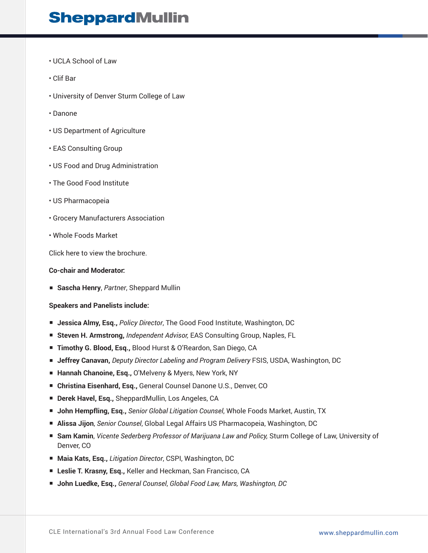## **SheppardMullin**

- UCLA School of Law
- Clif Bar
- University of Denver Sturm College of Law
- Danone
- US Department of Agriculture
- EAS Consulting Group
- US Food and Drug Administration
- The Good Food Institute
- US Pharmacopeia
- Grocery Manufacturers Association
- Whole Foods Market

Click here to view the brochure.

#### **Co-chair and Moderator:**

■ **Sascha Henry**, *Partner*, Sheppard Mullin

#### **Speakers and Panelists include:**

- **Jessica Almy, Esq.,** *Policy Director***, The Good Food Institute, Washington, DC**
- **Steven H. Armstrong, Independent Advisor, EAS Consulting Group, Naples, FL**
- **Timothy G. Blood, Esq., Blood Hurst & O'Reardon, San Diego, CA**
- **Jeffrey Canavan,** *Deputy Director Labeling and Program Delivery* FSIS, USDA, Washington, DC
- **Hannah Chanoine, Esq., O'Melveny & Myers, New York, NY**
- **Christina Eisenhard, Esq., General Counsel Danone U.S., Denver, CO**
- **Derek Havel, Esq., SheppardMullin, Los Angeles, CA**
- **John Hempfling, Esq.,** *Senior Global Litigation Counsel*, Whole Foods Market, Austin, TX
- **Alissa Jijon**, *Senior Counsel*, Global Legal Affairs US Pharmacopeia, Washington, DC
- **Sam Kamin**, *Vicente Sederberg Professor of Marijuana Law and Policy*, Sturm College of Law, University of Denver, CO
- **Maia Kats, Esq.,** *Litigation Director***, CSPI, Washington, DC**
- **Leslie T. Krasny, Esq.,** Keller and Heckman, San Francisco, CA
- **John Luedke, Esq.,** *General Counsel*, *Global Food Law, Mars, Washington, DC*